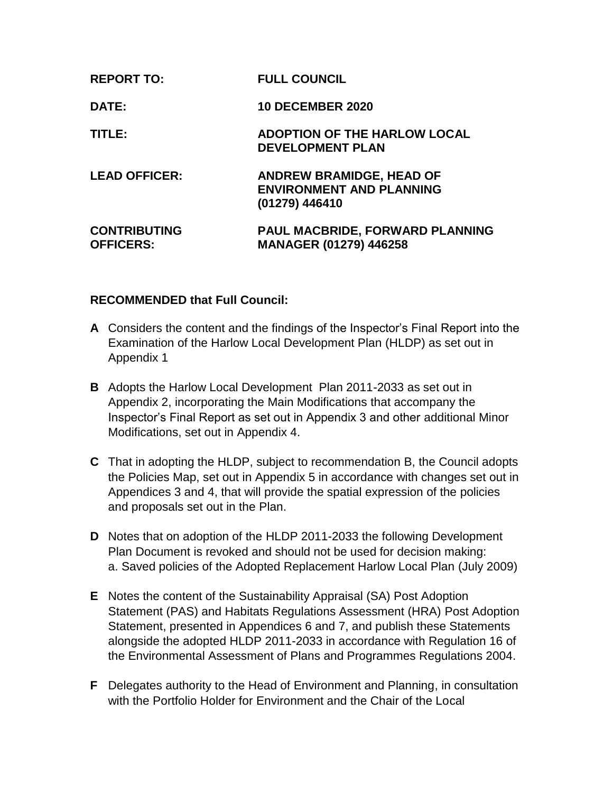| <b>REPORT TO:</b>                       | <b>FULL COUNCIL</b>                                                                  |
|-----------------------------------------|--------------------------------------------------------------------------------------|
| DATE:                                   | <b>10 DECEMBER 2020</b>                                                              |
| TITLE:                                  | <b>ADOPTION OF THE HARLOW LOCAL</b><br><b>DEVELOPMENT PLAN</b>                       |
| <b>LEAD OFFICER:</b>                    | <b>ANDREW BRAMIDGE, HEAD OF</b><br><b>ENVIRONMENT AND PLANNING</b><br>(01279) 446410 |
| <b>CONTRIBUTING</b><br><b>OFFICERS:</b> | PAUL MACBRIDE, FORWARD PLANNING<br><b>MANAGER (01279) 446258</b>                     |

## **RECOMMENDED that Full Council:**

- **A** Considers the content and the findings of the Inspector's Final Report into the Examination of the Harlow Local Development Plan (HLDP) as set out in Appendix 1
- **B** Adopts the Harlow Local Development Plan 2011-2033 as set out in Appendix 2, incorporating the Main Modifications that accompany the Inspector's Final Report as set out in Appendix 3 and other additional Minor Modifications, set out in Appendix 4.
- **C** That in adopting the HLDP, subject to recommendation B, the Council adopts the Policies Map, set out in Appendix 5 in accordance with changes set out in Appendices 3 and 4, that will provide the spatial expression of the policies and proposals set out in the Plan.
- **D** Notes that on adoption of the HLDP 2011-2033 the following Development Plan Document is revoked and should not be used for decision making: a. Saved policies of the Adopted Replacement Harlow Local Plan (July 2009)
- **E** Notes the content of the Sustainability Appraisal (SA) Post Adoption Statement (PAS) and Habitats Regulations Assessment (HRA) Post Adoption Statement, presented in Appendices 6 and 7, and publish these Statements alongside the adopted HLDP 2011-2033 in accordance with Regulation 16 of the Environmental Assessment of Plans and Programmes Regulations 2004.
- **F** Delegates authority to the Head of Environment and Planning, in consultation with the Portfolio Holder for Environment and the Chair of the Local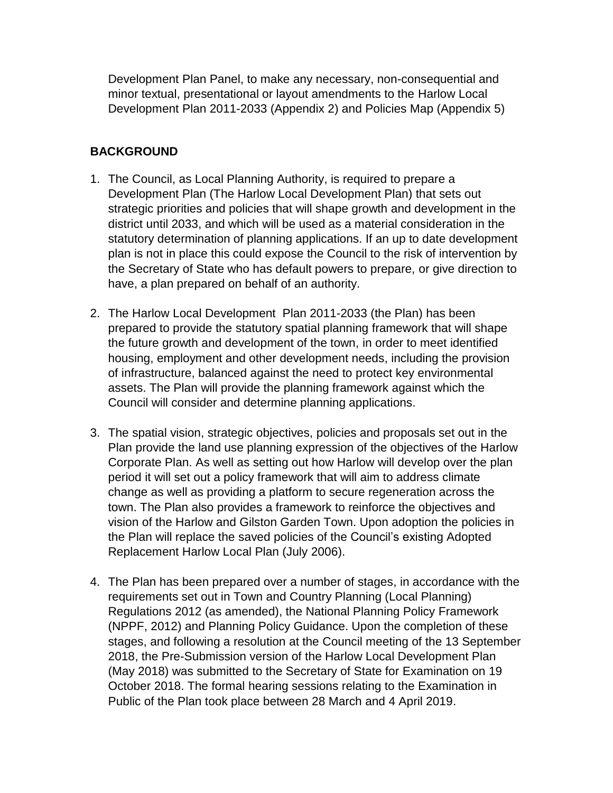Development Plan Panel, to make any necessary, non-consequential and minor textual, presentational or layout amendments to the Harlow Local Development Plan 2011-2033 (Appendix 2) and Policies Map (Appendix 5)

# **BACKGROUND**

- 1. The Council, as Local Planning Authority, is required to prepare a Development Plan (The Harlow Local Development Plan) that sets out strategic priorities and policies that will shape growth and development in the district until 2033, and which will be used as a material consideration in the statutory determination of planning applications. If an up to date development plan is not in place this could expose the Council to the risk of intervention by the Secretary of State who has default powers to prepare, or give direction to have, a plan prepared on behalf of an authority.
- 2. The Harlow Local Development Plan 2011-2033 (the Plan) has been prepared to provide the statutory spatial planning framework that will shape the future growth and development of the town, in order to meet identified housing, employment and other development needs, including the provision of infrastructure, balanced against the need to protect key environmental assets. The Plan will provide the planning framework against which the Council will consider and determine planning applications.
- 3. The spatial vision, strategic objectives, policies and proposals set out in the Plan provide the land use planning expression of the objectives of the Harlow Corporate Plan. As well as setting out how Harlow will develop over the plan period it will set out a policy framework that will aim to address climate change as well as providing a platform to secure regeneration across the town. The Plan also provides a framework to reinforce the objectives and vision of the Harlow and Gilston Garden Town. Upon adoption the policies in the Plan will replace the saved policies of the Council's existing Adopted Replacement Harlow Local Plan (July 2006).
- 4. The Plan has been prepared over a number of stages, in accordance with the requirements set out in Town and Country Planning (Local Planning) Regulations 2012 (as amended), the National Planning Policy Framework (NPPF, 2012) and Planning Policy Guidance. Upon the completion of these stages, and following a resolution at the Council meeting of the 13 September 2018, the Pre-Submission version of the Harlow Local Development Plan (May 2018) was submitted to the Secretary of State for Examination on 19 October 2018. The formal hearing sessions relating to the Examination in Public of the Plan took place between 28 March and 4 April 2019.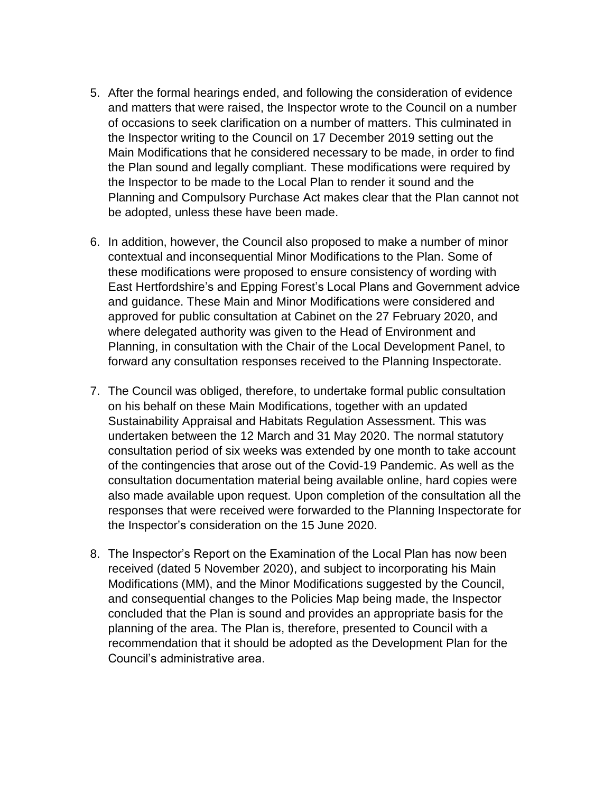- 5. After the formal hearings ended, and following the consideration of evidence and matters that were raised, the Inspector wrote to the Council on a number of occasions to seek clarification on a number of matters. This culminated in the Inspector writing to the Council on 17 December 2019 setting out the Main Modifications that he considered necessary to be made, in order to find the Plan sound and legally compliant. These modifications were required by the Inspector to be made to the Local Plan to render it sound and the Planning and Compulsory Purchase Act makes clear that the Plan cannot not be adopted, unless these have been made.
- 6. In addition, however, the Council also proposed to make a number of minor contextual and inconsequential Minor Modifications to the Plan. Some of these modifications were proposed to ensure consistency of wording with East Hertfordshire's and Epping Forest's Local Plans and Government advice and guidance. These Main and Minor Modifications were considered and approved for public consultation at Cabinet on the 27 February 2020, and where delegated authority was given to the Head of Environment and Planning, in consultation with the Chair of the Local Development Panel, to forward any consultation responses received to the Planning Inspectorate.
- 7. The Council was obliged, therefore, to undertake formal public consultation on his behalf on these Main Modifications, together with an updated Sustainability Appraisal and Habitats Regulation Assessment. This was undertaken between the 12 March and 31 May 2020. The normal statutory consultation period of six weeks was extended by one month to take account of the contingencies that arose out of the Covid-19 Pandemic. As well as the consultation documentation material being available online, hard copies were also made available upon request. Upon completion of the consultation all the responses that were received were forwarded to the Planning Inspectorate for the Inspector's consideration on the 15 June 2020.
- 8. The Inspector's Report on the Examination of the Local Plan has now been received (dated 5 November 2020), and subject to incorporating his Main Modifications (MM), and the Minor Modifications suggested by the Council, and consequential changes to the Policies Map being made, the Inspector concluded that the Plan is sound and provides an appropriate basis for the planning of the area. The Plan is, therefore, presented to Council with a recommendation that it should be adopted as the Development Plan for the Council's administrative area.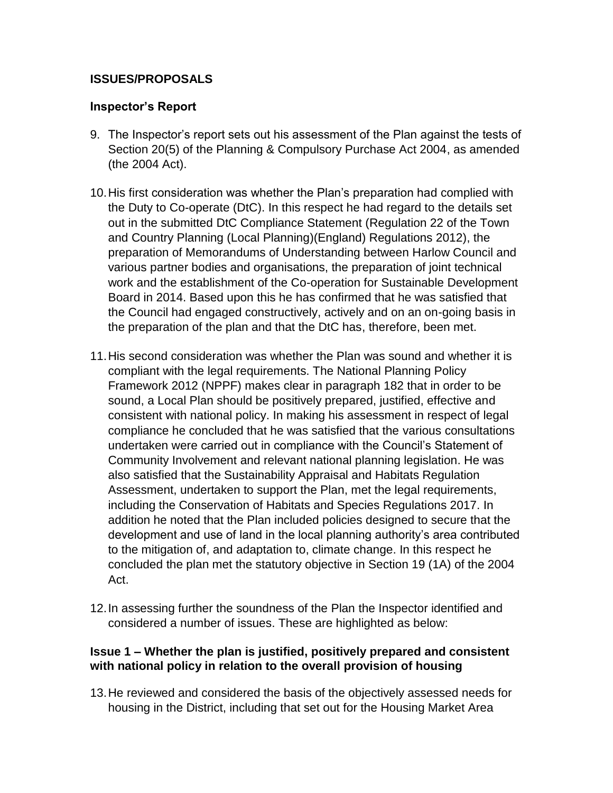# **ISSUES/PROPOSALS**

## **Inspector's Report**

- 9. The Inspector's report sets out his assessment of the Plan against the tests of Section 20(5) of the Planning & Compulsory Purchase Act 2004, as amended (the 2004 Act).
- 10.His first consideration was whether the Plan's preparation had complied with the Duty to Co-operate (DtC). In this respect he had regard to the details set out in the submitted DtC Compliance Statement (Regulation 22 of the Town and Country Planning (Local Planning)(England) Regulations 2012), the preparation of Memorandums of Understanding between Harlow Council and various partner bodies and organisations, the preparation of joint technical work and the establishment of the Co-operation for Sustainable Development Board in 2014. Based upon this he has confirmed that he was satisfied that the Council had engaged constructively, actively and on an on-going basis in the preparation of the plan and that the DtC has, therefore, been met.
- 11.His second consideration was whether the Plan was sound and whether it is compliant with the legal requirements. The National Planning Policy Framework 2012 (NPPF) makes clear in paragraph 182 that in order to be sound, a Local Plan should be positively prepared, justified, effective and consistent with national policy. In making his assessment in respect of legal compliance he concluded that he was satisfied that the various consultations undertaken were carried out in compliance with the Council's Statement of Community Involvement and relevant national planning legislation. He was also satisfied that the Sustainability Appraisal and Habitats Regulation Assessment, undertaken to support the Plan, met the legal requirements, including the Conservation of Habitats and Species Regulations 2017. In addition he noted that the Plan included policies designed to secure that the development and use of land in the local planning authority's area contributed to the mitigation of, and adaptation to, climate change. In this respect he concluded the plan met the statutory objective in Section 19 (1A) of the 2004 Act.
- 12.In assessing further the soundness of the Plan the Inspector identified and considered a number of issues. These are highlighted as below:

# **Issue 1 – Whether the plan is justified, positively prepared and consistent with national policy in relation to the overall provision of housing**

13.He reviewed and considered the basis of the objectively assessed needs for housing in the District, including that set out for the Housing Market Area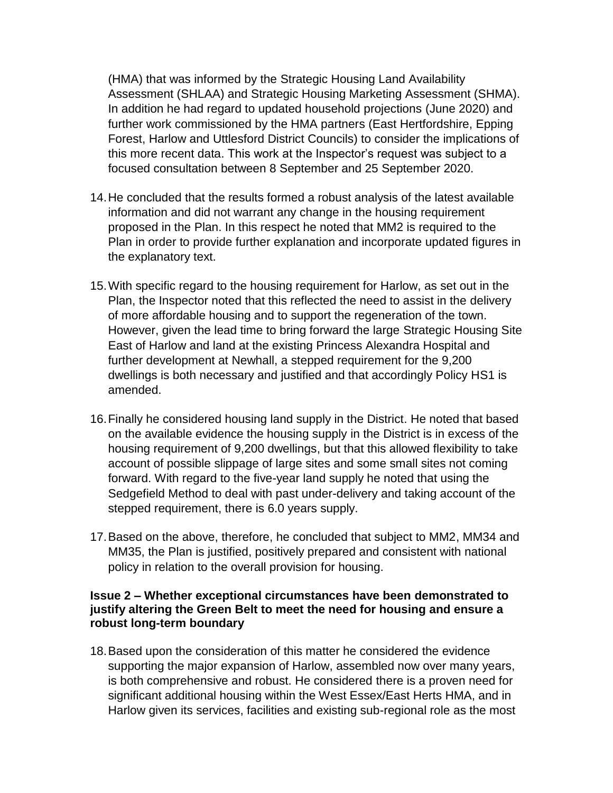(HMA) that was informed by the Strategic Housing Land Availability Assessment (SHLAA) and Strategic Housing Marketing Assessment (SHMA). In addition he had regard to updated household projections (June 2020) and further work commissioned by the HMA partners (East Hertfordshire, Epping Forest, Harlow and Uttlesford District Councils) to consider the implications of this more recent data. This work at the Inspector's request was subject to a focused consultation between 8 September and 25 September 2020.

- 14.He concluded that the results formed a robust analysis of the latest available information and did not warrant any change in the housing requirement proposed in the Plan. In this respect he noted that MM2 is required to the Plan in order to provide further explanation and incorporate updated figures in the explanatory text.
- 15.With specific regard to the housing requirement for Harlow, as set out in the Plan, the Inspector noted that this reflected the need to assist in the delivery of more affordable housing and to support the regeneration of the town. However, given the lead time to bring forward the large Strategic Housing Site East of Harlow and land at the existing Princess Alexandra Hospital and further development at Newhall, a stepped requirement for the 9,200 dwellings is both necessary and justified and that accordingly Policy HS1 is amended.
- 16.Finally he considered housing land supply in the District. He noted that based on the available evidence the housing supply in the District is in excess of the housing requirement of 9,200 dwellings, but that this allowed flexibility to take account of possible slippage of large sites and some small sites not coming forward. With regard to the five-year land supply he noted that using the Sedgefield Method to deal with past under-delivery and taking account of the stepped requirement, there is 6.0 years supply.
- 17.Based on the above, therefore, he concluded that subject to MM2, MM34 and MM35, the Plan is justified, positively prepared and consistent with national policy in relation to the overall provision for housing.

#### **Issue 2 – Whether exceptional circumstances have been demonstrated to justify altering the Green Belt to meet the need for housing and ensure a robust long-term boundary**

18.Based upon the consideration of this matter he considered the evidence supporting the major expansion of Harlow, assembled now over many years, is both comprehensive and robust. He considered there is a proven need for significant additional housing within the West Essex/East Herts HMA, and in Harlow given its services, facilities and existing sub-regional role as the most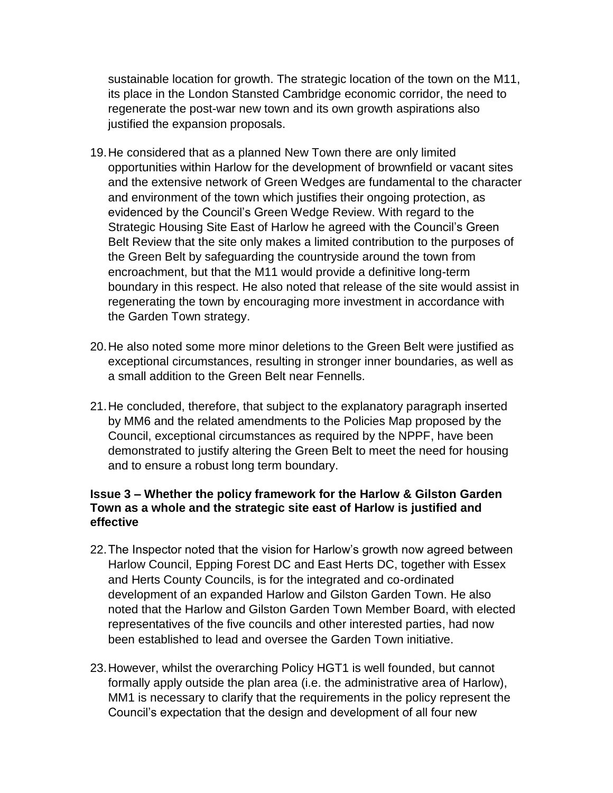sustainable location for growth. The strategic location of the town on the M11, its place in the London Stansted Cambridge economic corridor, the need to regenerate the post-war new town and its own growth aspirations also justified the expansion proposals.

- 19.He considered that as a planned New Town there are only limited opportunities within Harlow for the development of brownfield or vacant sites and the extensive network of Green Wedges are fundamental to the character and environment of the town which justifies their ongoing protection, as evidenced by the Council's Green Wedge Review. With regard to the Strategic Housing Site East of Harlow he agreed with the Council's Green Belt Review that the site only makes a limited contribution to the purposes of the Green Belt by safeguarding the countryside around the town from encroachment, but that the M11 would provide a definitive long-term boundary in this respect. He also noted that release of the site would assist in regenerating the town by encouraging more investment in accordance with the Garden Town strategy.
- 20.He also noted some more minor deletions to the Green Belt were justified as exceptional circumstances, resulting in stronger inner boundaries, as well as a small addition to the Green Belt near Fennells.
- 21.He concluded, therefore, that subject to the explanatory paragraph inserted by MM6 and the related amendments to the Policies Map proposed by the Council, exceptional circumstances as required by the NPPF, have been demonstrated to justify altering the Green Belt to meet the need for housing and to ensure a robust long term boundary.

## **Issue 3 – Whether the policy framework for the Harlow & Gilston Garden Town as a whole and the strategic site east of Harlow is justified and effective**

- 22.The Inspector noted that the vision for Harlow's growth now agreed between Harlow Council, Epping Forest DC and East Herts DC, together with Essex and Herts County Councils, is for the integrated and co-ordinated development of an expanded Harlow and Gilston Garden Town. He also noted that the Harlow and Gilston Garden Town Member Board, with elected representatives of the five councils and other interested parties, had now been established to lead and oversee the Garden Town initiative.
- 23.However, whilst the overarching Policy HGT1 is well founded, but cannot formally apply outside the plan area (i.e. the administrative area of Harlow), MM1 is necessary to clarify that the requirements in the policy represent the Council's expectation that the design and development of all four new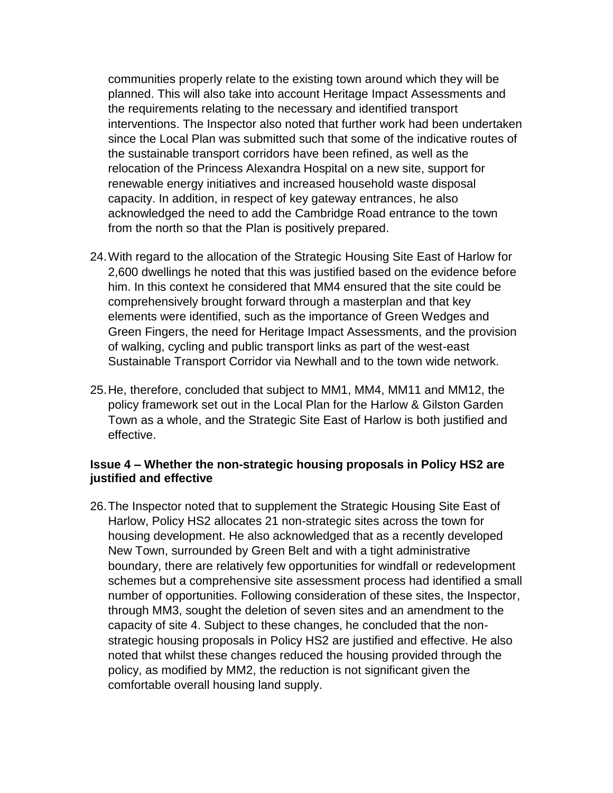communities properly relate to the existing town around which they will be planned. This will also take into account Heritage Impact Assessments and the requirements relating to the necessary and identified transport interventions. The Inspector also noted that further work had been undertaken since the Local Plan was submitted such that some of the indicative routes of the sustainable transport corridors have been refined, as well as the relocation of the Princess Alexandra Hospital on a new site, support for renewable energy initiatives and increased household waste disposal capacity. In addition, in respect of key gateway entrances, he also acknowledged the need to add the Cambridge Road entrance to the town from the north so that the Plan is positively prepared.

- 24.With regard to the allocation of the Strategic Housing Site East of Harlow for 2,600 dwellings he noted that this was justified based on the evidence before him. In this context he considered that MM4 ensured that the site could be comprehensively brought forward through a masterplan and that key elements were identified, such as the importance of Green Wedges and Green Fingers, the need for Heritage Impact Assessments, and the provision of walking, cycling and public transport links as part of the west-east Sustainable Transport Corridor via Newhall and to the town wide network.
- 25.He, therefore, concluded that subject to MM1, MM4, MM11 and MM12, the policy framework set out in the Local Plan for the Harlow & Gilston Garden Town as a whole, and the Strategic Site East of Harlow is both justified and effective.

#### **Issue 4 – Whether the non-strategic housing proposals in Policy HS2 are justified and effective**

26.The Inspector noted that to supplement the Strategic Housing Site East of Harlow, Policy HS2 allocates 21 non-strategic sites across the town for housing development. He also acknowledged that as a recently developed New Town, surrounded by Green Belt and with a tight administrative boundary, there are relatively few opportunities for windfall or redevelopment schemes but a comprehensive site assessment process had identified a small number of opportunities. Following consideration of these sites, the Inspector, through MM3, sought the deletion of seven sites and an amendment to the capacity of site 4. Subject to these changes, he concluded that the nonstrategic housing proposals in Policy HS2 are justified and effective. He also noted that whilst these changes reduced the housing provided through the policy, as modified by MM2, the reduction is not significant given the comfortable overall housing land supply.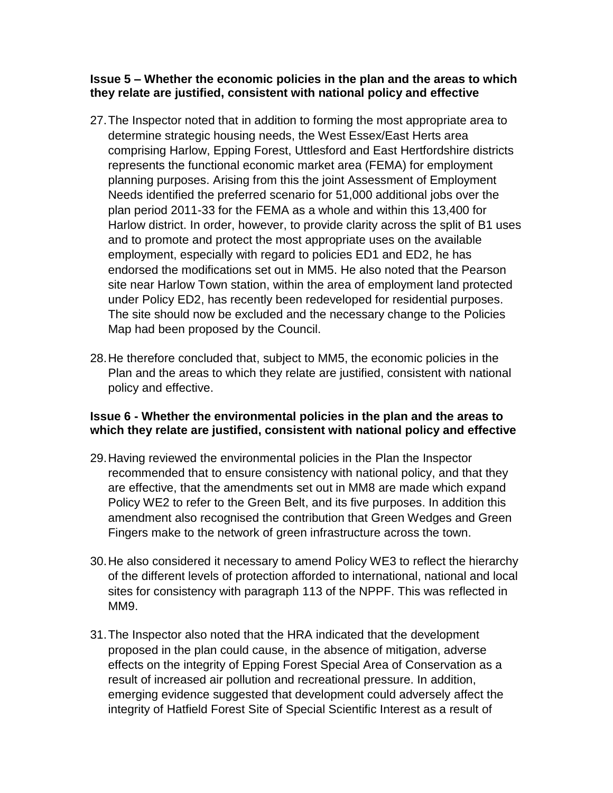#### **Issue 5 – Whether the economic policies in the plan and the areas to which they relate are justified, consistent with national policy and effective**

- 27.The Inspector noted that in addition to forming the most appropriate area to determine strategic housing needs, the West Essex/East Herts area comprising Harlow, Epping Forest, Uttlesford and East Hertfordshire districts represents the functional economic market area (FEMA) for employment planning purposes. Arising from this the joint Assessment of Employment Needs identified the preferred scenario for 51,000 additional jobs over the plan period 2011-33 for the FEMA as a whole and within this 13,400 for Harlow district. In order, however, to provide clarity across the split of B1 uses and to promote and protect the most appropriate uses on the available employment, especially with regard to policies ED1 and ED2, he has endorsed the modifications set out in MM5. He also noted that the Pearson site near Harlow Town station, within the area of employment land protected under Policy ED2, has recently been redeveloped for residential purposes. The site should now be excluded and the necessary change to the Policies Map had been proposed by the Council.
- 28.He therefore concluded that, subject to MM5, the economic policies in the Plan and the areas to which they relate are justified, consistent with national policy and effective.

# **Issue 6 - Whether the environmental policies in the plan and the areas to which they relate are justified, consistent with national policy and effective**

- 29.Having reviewed the environmental policies in the Plan the Inspector recommended that to ensure consistency with national policy, and that they are effective, that the amendments set out in MM8 are made which expand Policy WE2 to refer to the Green Belt, and its five purposes. In addition this amendment also recognised the contribution that Green Wedges and Green Fingers make to the network of green infrastructure across the town.
- 30.He also considered it necessary to amend Policy WE3 to reflect the hierarchy of the different levels of protection afforded to international, national and local sites for consistency with paragraph 113 of the NPPF. This was reflected in MM9.
- 31.The Inspector also noted that the HRA indicated that the development proposed in the plan could cause, in the absence of mitigation, adverse effects on the integrity of Epping Forest Special Area of Conservation as a result of increased air pollution and recreational pressure. In addition, emerging evidence suggested that development could adversely affect the integrity of Hatfield Forest Site of Special Scientific Interest as a result of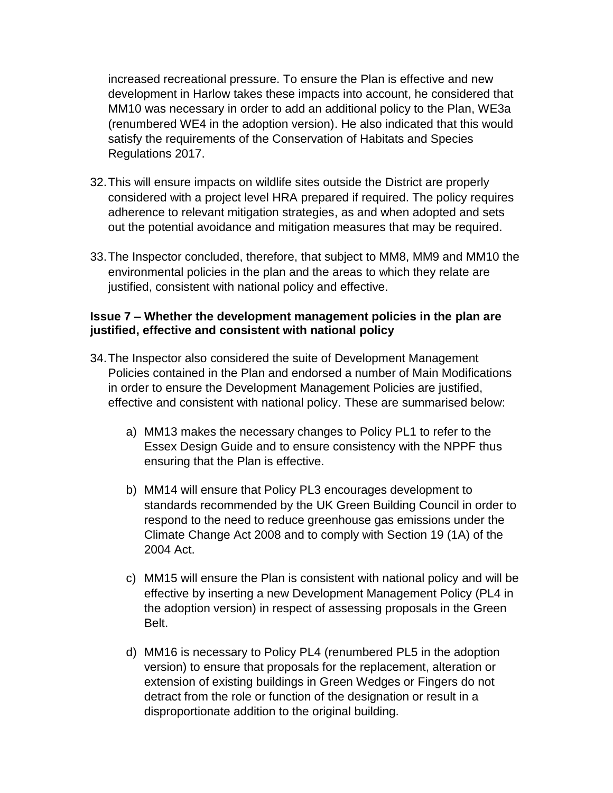increased recreational pressure. To ensure the Plan is effective and new development in Harlow takes these impacts into account, he considered that MM10 was necessary in order to add an additional policy to the Plan, WE3a (renumbered WE4 in the adoption version). He also indicated that this would satisfy the requirements of the Conservation of Habitats and Species Regulations 2017.

- 32.This will ensure impacts on wildlife sites outside the District are properly considered with a project level HRA prepared if required. The policy requires adherence to relevant mitigation strategies, as and when adopted and sets out the potential avoidance and mitigation measures that may be required.
- 33.The Inspector concluded, therefore, that subject to MM8, MM9 and MM10 the environmental policies in the plan and the areas to which they relate are justified, consistent with national policy and effective.

## **Issue 7 – Whether the development management policies in the plan are justified, effective and consistent with national policy**

- 34.The Inspector also considered the suite of Development Management Policies contained in the Plan and endorsed a number of Main Modifications in order to ensure the Development Management Policies are justified, effective and consistent with national policy. These are summarised below:
	- a) MM13 makes the necessary changes to Policy PL1 to refer to the Essex Design Guide and to ensure consistency with the NPPF thus ensuring that the Plan is effective.
	- b) MM14 will ensure that Policy PL3 encourages development to standards recommended by the UK Green Building Council in order to respond to the need to reduce greenhouse gas emissions under the Climate Change Act 2008 and to comply with Section 19 (1A) of the 2004 Act.
	- c) MM15 will ensure the Plan is consistent with national policy and will be effective by inserting a new Development Management Policy (PL4 in the adoption version) in respect of assessing proposals in the Green Belt.
	- d) MM16 is necessary to Policy PL4 (renumbered PL5 in the adoption version) to ensure that proposals for the replacement, alteration or extension of existing buildings in Green Wedges or Fingers do not detract from the role or function of the designation or result in a disproportionate addition to the original building.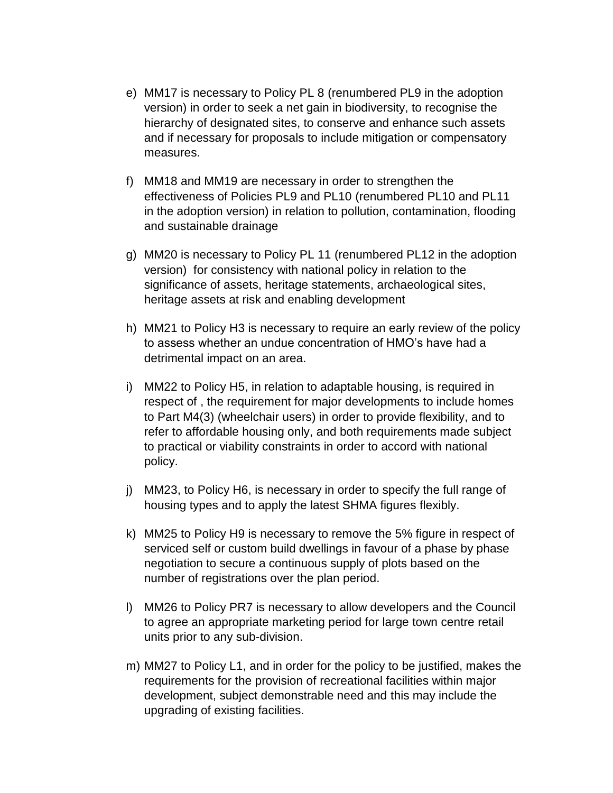- e) MM17 is necessary to Policy PL 8 (renumbered PL9 in the adoption version) in order to seek a net gain in biodiversity, to recognise the hierarchy of designated sites, to conserve and enhance such assets and if necessary for proposals to include mitigation or compensatory measures.
- f) MM18 and MM19 are necessary in order to strengthen the effectiveness of Policies PL9 and PL10 (renumbered PL10 and PL11 in the adoption version) in relation to pollution, contamination, flooding and sustainable drainage
- g) MM20 is necessary to Policy PL 11 (renumbered PL12 in the adoption version) for consistency with national policy in relation to the significance of assets, heritage statements, archaeological sites, heritage assets at risk and enabling development
- h) MM21 to Policy H3 is necessary to require an early review of the policy to assess whether an undue concentration of HMO's have had a detrimental impact on an area.
- i) MM22 to Policy H5, in relation to adaptable housing, is required in respect of , the requirement for major developments to include homes to Part M4(3) (wheelchair users) in order to provide flexibility, and to refer to affordable housing only, and both requirements made subject to practical or viability constraints in order to accord with national policy.
- j) MM23, to Policy H6, is necessary in order to specify the full range of housing types and to apply the latest SHMA figures flexibly.
- k) MM25 to Policy H9 is necessary to remove the 5% figure in respect of serviced self or custom build dwellings in favour of a phase by phase negotiation to secure a continuous supply of plots based on the number of registrations over the plan period.
- l) MM26 to Policy PR7 is necessary to allow developers and the Council to agree an appropriate marketing period for large town centre retail units prior to any sub-division.
- m) MM27 to Policy L1, and in order for the policy to be justified, makes the requirements for the provision of recreational facilities within major development, subject demonstrable need and this may include the upgrading of existing facilities.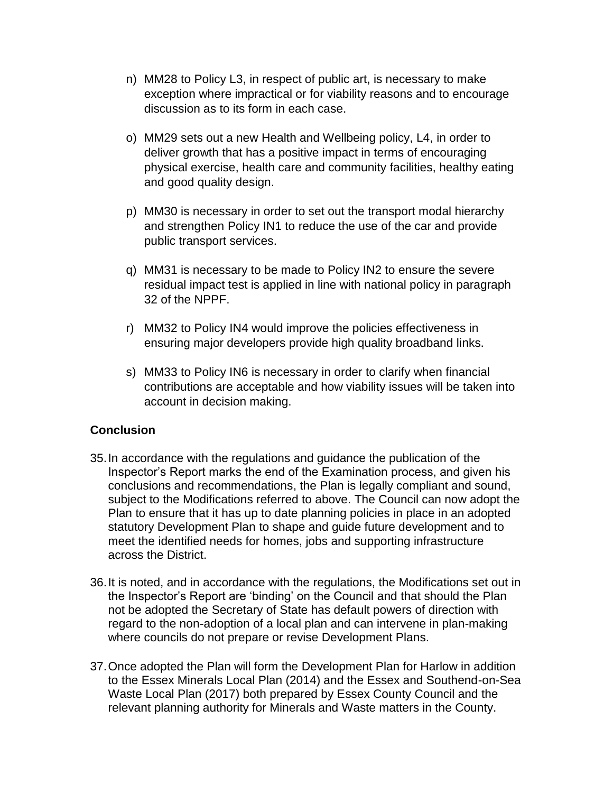- n) MM28 to Policy L3, in respect of public art, is necessary to make exception where impractical or for viability reasons and to encourage discussion as to its form in each case.
- o) MM29 sets out a new Health and Wellbeing policy, L4, in order to deliver growth that has a positive impact in terms of encouraging physical exercise, health care and community facilities, healthy eating and good quality design.
- p) MM30 is necessary in order to set out the transport modal hierarchy and strengthen Policy IN1 to reduce the use of the car and provide public transport services.
- q) MM31 is necessary to be made to Policy IN2 to ensure the severe residual impact test is applied in line with national policy in paragraph 32 of the NPPF.
- r) MM32 to Policy IN4 would improve the policies effectiveness in ensuring major developers provide high quality broadband links.
- s) MM33 to Policy IN6 is necessary in order to clarify when financial contributions are acceptable and how viability issues will be taken into account in decision making.

# **Conclusion**

- 35.In accordance with the regulations and guidance the publication of the Inspector's Report marks the end of the Examination process, and given his conclusions and recommendations, the Plan is legally compliant and sound, subject to the Modifications referred to above. The Council can now adopt the Plan to ensure that it has up to date planning policies in place in an adopted statutory Development Plan to shape and guide future development and to meet the identified needs for homes, jobs and supporting infrastructure across the District.
- 36.It is noted, and in accordance with the regulations, the Modifications set out in the Inspector's Report are 'binding' on the Council and that should the Plan not be adopted the Secretary of State has default powers of direction with regard to the non-adoption of a local plan and can intervene in plan-making where councils do not prepare or revise Development Plans.
- 37.Once adopted the Plan will form the Development Plan for Harlow in addition to the Essex Minerals Local Plan (2014) and the Essex and Southend-on-Sea Waste Local Plan (2017) both prepared by Essex County Council and the relevant planning authority for Minerals and Waste matters in the County.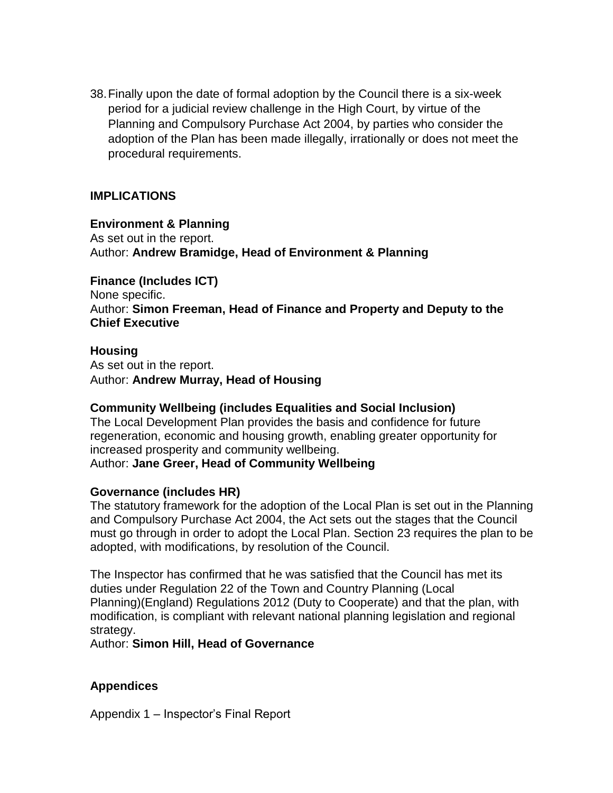38.Finally upon the date of formal adoption by the Council there is a six-week period for a judicial review challenge in the High Court, by virtue of the Planning and Compulsory Purchase Act 2004, by parties who consider the adoption of the Plan has been made illegally, irrationally or does not meet the procedural requirements.

#### **IMPLICATIONS**

#### **Environment & Planning**

As set out in the report. Author: **Andrew Bramidge, Head of Environment & Planning**

**Finance (Includes ICT)** None specific. Author: **Simon Freeman, Head of Finance and Property and Deputy to the Chief Executive**

#### **Housing**

As set out in the report. Author: **Andrew Murray, Head of Housing**

#### **Community Wellbeing (includes Equalities and Social Inclusion)**

The Local Development Plan provides the basis and confidence for future regeneration, economic and housing growth, enabling greater opportunity for increased prosperity and community wellbeing. Author: **Jane Greer, Head of Community Wellbeing**

#### **Governance (includes HR)**

The statutory framework for the adoption of the Local Plan is set out in the Planning and Compulsory Purchase Act 2004, the Act sets out the stages that the Council must go through in order to adopt the Local Plan. Section 23 requires the plan to be adopted, with modifications, by resolution of the Council.

The Inspector has confirmed that he was satisfied that the Council has met its duties under Regulation 22 of the Town and Country Planning (Local Planning)(England) Regulations 2012 (Duty to Cooperate) and that the plan, with modification, is compliant with relevant national planning legislation and regional strategy.

Author: **Simon Hill, Head of Governance**

## **Appendices**

Appendix 1 – Inspector's Final Report